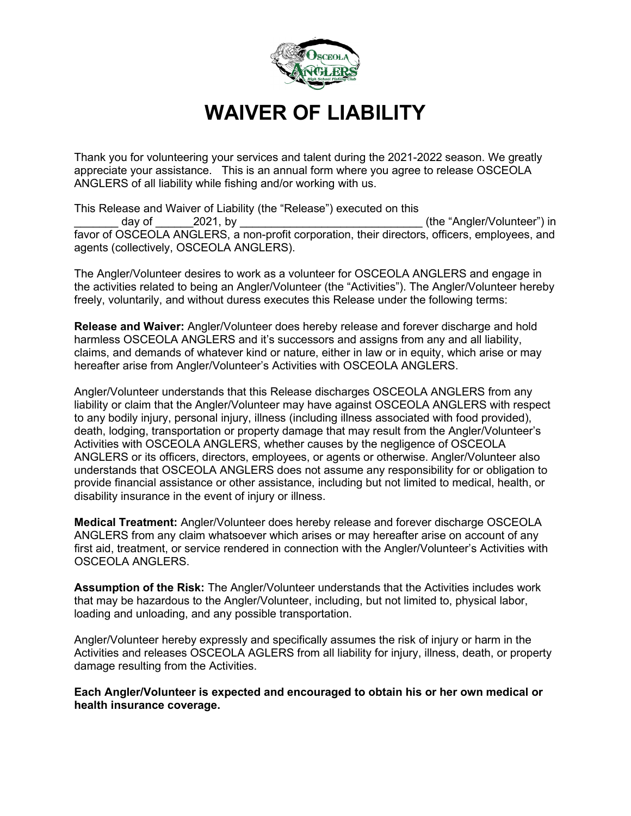

## **WAIVER OF LIABILITY**

Thank you for volunteering your services and talent during the 2021-2022 season. We greatly appreciate your assistance. This is an annual form where you agree to release OSCEOLA ANGLERS of all liability while fishing and/or working with us.

This Release and Waiver of Liability (the "Release") executed on this day of and the "angler/Volunteer") in the day of the "Angler/Volunteer") in favor of OSCEOLA ANGLERS, a non-profit corporation, their directors, officers, employees, and agents (collectively, OSCEOLA ANGLERS).

The Angler/Volunteer desires to work as a volunteer for OSCEOLA ANGLERS and engage in the activities related to being an Angler/Volunteer (the "Activities"). The Angler/Volunteer hereby freely, voluntarily, and without duress executes this Release under the following terms:

**Release and Waiver:** Angler/Volunteer does hereby release and forever discharge and hold harmless OSCEOLA ANGLERS and it's successors and assigns from any and all liability, claims, and demands of whatever kind or nature, either in law or in equity, which arise or may hereafter arise from Angler/Volunteer's Activities with OSCEOLA ANGLERS.

Angler/Volunteer understands that this Release discharges OSCEOLA ANGLERS from any liability or claim that the Angler/Volunteer may have against OSCEOLA ANGLERS with respect to any bodily injury, personal injury, illness (including illness associated with food provided), death, lodging, transportation or property damage that may result from the Angler/Volunteer's Activities with OSCEOLA ANGLERS, whether causes by the negligence of OSCEOLA ANGLERS or its officers, directors, employees, or agents or otherwise. Angler/Volunteer also understands that OSCEOLA ANGLERS does not assume any responsibility for or obligation to provide financial assistance or other assistance, including but not limited to medical, health, or disability insurance in the event of injury or illness.

**Medical Treatment:** Angler/Volunteer does hereby release and forever discharge OSCEOLA ANGLERS from any claim whatsoever which arises or may hereafter arise on account of any first aid, treatment, or service rendered in connection with the Angler/Volunteer's Activities with OSCEOLA ANGLERS.

**Assumption of the Risk:** The Angler/Volunteer understands that the Activities includes work that may be hazardous to the Angler/Volunteer, including, but not limited to, physical labor, loading and unloading, and any possible transportation.

Angler/Volunteer hereby expressly and specifically assumes the risk of injury or harm in the Activities and releases OSCEOLA AGLERS from all liability for injury, illness, death, or property damage resulting from the Activities.

**Each Angler/Volunteer is expected and encouraged to obtain his or her own medical or health insurance coverage.**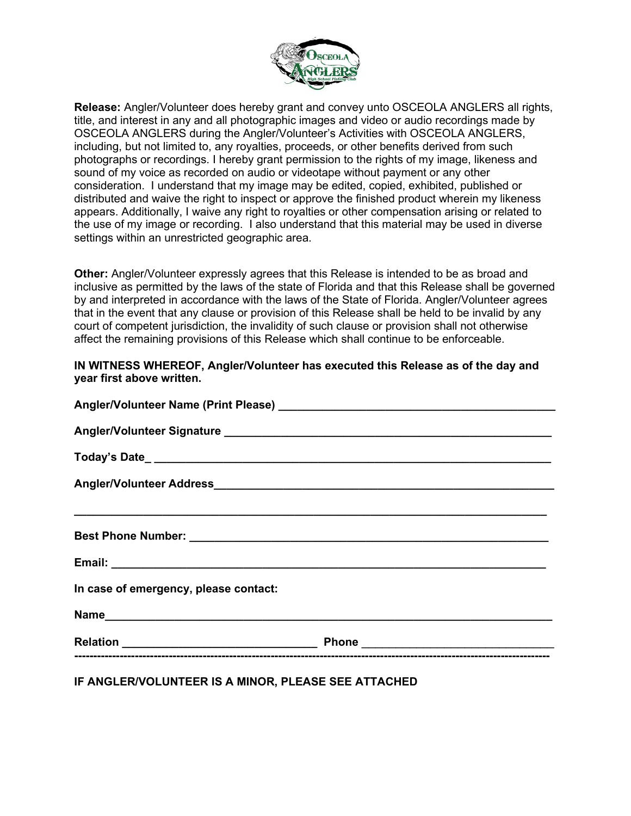

**Release:** Angler/Volunteer does hereby grant and convey unto OSCEOLA ANGLERS all rights, title, and interest in any and all photographic images and video or audio recordings made by OSCEOLA ANGLERS during the Angler/Volunteer's Activities with OSCEOLA ANGLERS, including, but not limited to, any royalties, proceeds, or other benefits derived from such photographs or recordings. I hereby grant permission to the rights of my image, likeness and sound of my voice as recorded on audio or videotape without payment or any other consideration. I understand that my image may be edited, copied, exhibited, published or distributed and waive the right to inspect or approve the finished product wherein my likeness appears. Additionally, I waive any right to royalties or other compensation arising or related to the use of my image or recording. I also understand that this material may be used in diverse settings within an unrestricted geographic area.

**Other:** Angler/Volunteer expressly agrees that this Release is intended to be as broad and inclusive as permitted by the laws of the state of Florida and that this Release shall be governed by and interpreted in accordance with the laws of the State of Florida. Angler/Volunteer agrees that in the event that any clause or provision of this Release shall be held to be invalid by any court of competent jurisdiction, the invalidity of such clause or provision shall not otherwise affect the remaining provisions of this Release which shall continue to be enforceable.

## **IN WITNESS WHEREOF, Angler/Volunteer has executed this Release as of the day and year first above written.**

| In case of emergency, please contact: |  |
|---------------------------------------|--|
|                                       |  |
|                                       |  |
|                                       |  |

**IF ANGLER/VOLUNTEER IS A MINOR, PLEASE SEE ATTACHED**